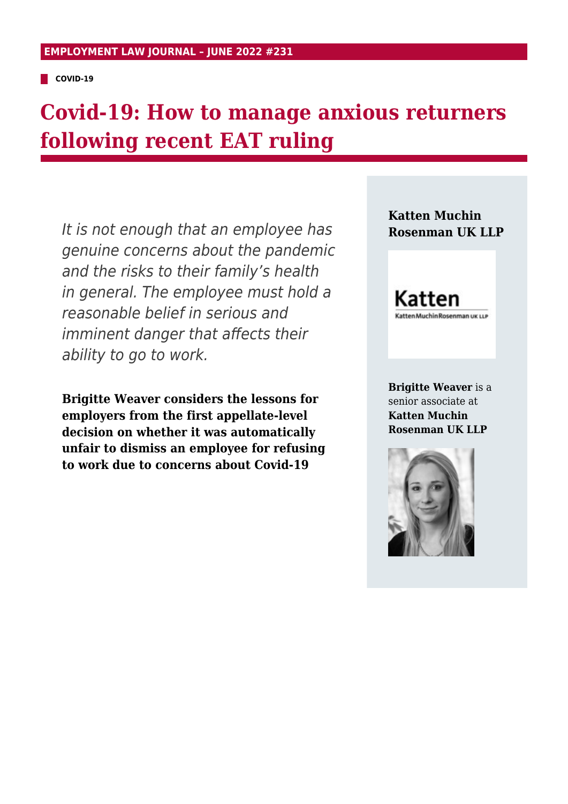**COVID-19** 

# **Covid-19: How to manage anxious returners following recent EAT ruling**

It is not enough that an employee has genuine concerns about the pandemic and the risks to their family's health in general. The employee must hold a reasonable belief in serious and imminent danger that affects their ability to go to work.

**Brigitte Weaver considers the lessons for employers from the first appellate-level decision on whether it was automatically unfair to dismiss an employee for refusing to work due to concerns about Covid-19**

**Katten Muchin Rosenman UK LLP**

Katten atten Muchin Rosenman uk LLP

**Brigitte Weaver** is a senior associate at **Katten Muchin Rosenman UK LLP**

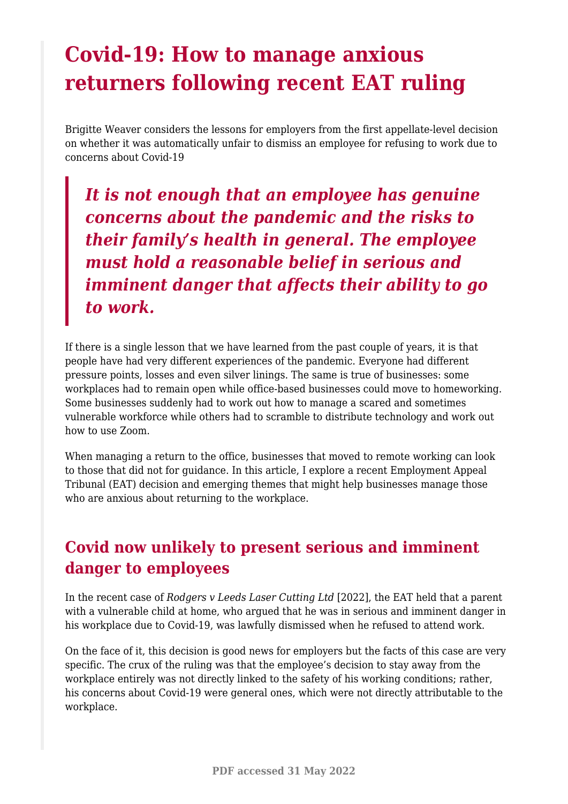# **Covid-19: How to manage anxious returners following recent EAT ruling**

Brigitte Weaver considers the lessons for employers from the first appellate-level decision on whether it was automatically unfair to dismiss an employee for refusing to work due to concerns about Covid-19

*It is not enough that an employee has genuine concerns about the pandemic and the risks to their family's health in general. The employee must hold a reasonable belief in serious and imminent danger that affects their ability to go to work.*

If there is a single lesson that we have learned from the past couple of years, it is that people have had very different experiences of the pandemic. Everyone had different pressure points, losses and even silver linings. The same is true of businesses: some workplaces had to remain open while office-based businesses could move to homeworking. Some businesses suddenly had to work out how to manage a scared and sometimes vulnerable workforce while others had to scramble to distribute technology and work out how to use Zoom.

When managing a return to the office, businesses that moved to remote working can look to those that did not for guidance. In this article, I explore a recent Employment Appeal Tribunal (EAT) decision and emerging themes that might help businesses manage those who are anxious about returning to the workplace.

## **Covid now unlikely to present serious and imminent danger to employees**

In the recent case of *Rodgers v Leeds Laser Cutting Ltd* [2022], the EAT held that a parent with a vulnerable child at home, who argued that he was in serious and imminent danger in his workplace due to Covid-19, was lawfully dismissed when he refused to attend work.

On the face of it, this decision is good news for employers but the facts of this case are very specific. The crux of the ruling was that the employee's decision to stay away from the workplace entirely was not directly linked to the safety of his working conditions; rather, his concerns about Covid-19 were general ones, which were not directly attributable to the workplace.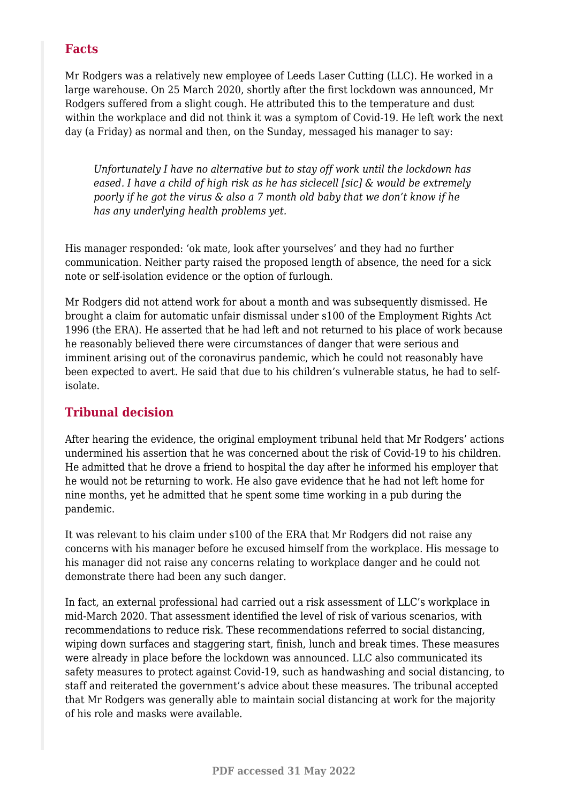### **Facts**

Mr Rodgers was a relatively new employee of Leeds Laser Cutting (LLC). He worked in a large warehouse. On 25 March 2020, shortly after the first lockdown was announced, Mr Rodgers suffered from a slight cough. He attributed this to the temperature and dust within the workplace and did not think it was a symptom of Covid-19. He left work the next day (a Friday) as normal and then, on the Sunday, messaged his manager to say:

*Unfortunately I have no alternative but to stay off work until the lockdown has eased. I have a child of high risk as he has siclecell [sic] & would be extremely poorly if he got the virus & also a 7 month old baby that we don't know if he has any underlying health problems yet.*

His manager responded: 'ok mate, look after yourselves' and they had no further communication. Neither party raised the proposed length of absence, the need for a sick note or self-isolation evidence or the option of furlough.

Mr Rodgers did not attend work for about a month and was subsequently dismissed. He brought a claim for automatic unfair dismissal under s100 of the Employment Rights Act 1996 (the ERA). He asserted that he had left and not returned to his place of work because he reasonably believed there were circumstances of danger that were serious and imminent arising out of the coronavirus pandemic, which he could not reasonably have been expected to avert. He said that due to his children's vulnerable status, he had to selfisolate.

#### **Tribunal decision**

After hearing the evidence, the original employment tribunal held that Mr Rodgers' actions undermined his assertion that he was concerned about the risk of Covid-19 to his children. He admitted that he drove a friend to hospital the day after he informed his employer that he would not be returning to work. He also gave evidence that he had not left home for nine months, yet he admitted that he spent some time working in a pub during the pandemic.

It was relevant to his claim under s100 of the ERA that Mr Rodgers did not raise any concerns with his manager before he excused himself from the workplace. His message to his manager did not raise any concerns relating to workplace danger and he could not demonstrate there had been any such danger.

In fact, an external professional had carried out a risk assessment of LLC's workplace in mid-March 2020. That assessment identified the level of risk of various scenarios, with recommendations to reduce risk. These recommendations referred to social distancing, wiping down surfaces and staggering start, finish, lunch and break times. These measures were already in place before the lockdown was announced. LLC also communicated its safety measures to protect against Covid-19, such as handwashing and social distancing, to staff and reiterated the government's advice about these measures. The tribunal accepted that Mr Rodgers was generally able to maintain social distancing at work for the majority of his role and masks were available.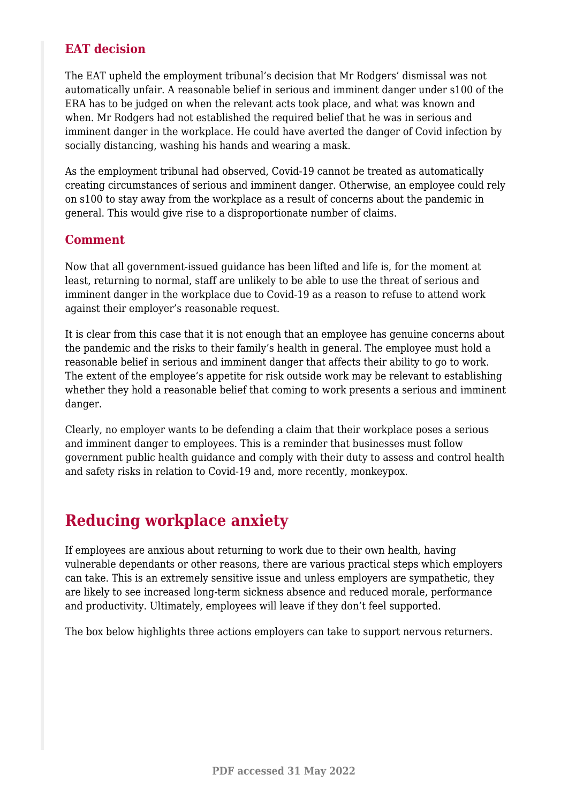### **EAT decision**

The EAT upheld the employment tribunal's decision that Mr Rodgers' dismissal was not automatically unfair. A reasonable belief in serious and imminent danger under s100 of the ERA has to be judged on when the relevant acts took place, and what was known and when. Mr Rodgers had not established the required belief that he was in serious and imminent danger in the workplace. He could have averted the danger of Covid infection by socially distancing, washing his hands and wearing a mask.

As the employment tribunal had observed, Covid-19 cannot be treated as automatically creating circumstances of serious and imminent danger. Otherwise, an employee could rely on s100 to stay away from the workplace as a result of concerns about the pandemic in general. This would give rise to a disproportionate number of claims.

#### **Comment**

Now that all government-issued guidance has been lifted and life is, for the moment at least, returning to normal, staff are unlikely to be able to use the threat of serious and imminent danger in the workplace due to Covid-19 as a reason to refuse to attend work against their employer's reasonable request.

It is clear from this case that it is not enough that an employee has genuine concerns about the pandemic and the risks to their family's health in general. The employee must hold a reasonable belief in serious and imminent danger that affects their ability to go to work. The extent of the employee's appetite for risk outside work may be relevant to establishing whether they hold a reasonable belief that coming to work presents a serious and imminent danger.

Clearly, no employer wants to be defending a claim that their workplace poses a serious and imminent danger to employees. This is a reminder that businesses must follow government public health guidance and comply with their duty to assess and control health and safety risks in relation to Covid-19 and, more recently, monkeypox.

## **Reducing workplace anxiety**

If employees are anxious about returning to work due to their own health, having vulnerable dependants or other reasons, there are various practical steps which employers can take. This is an extremely sensitive issue and unless employers are sympathetic, they are likely to see increased long-term sickness absence and reduced morale, performance and productivity. Ultimately, employees will leave if they don't feel supported.

The box below highlights three actions employers can take to support nervous returners.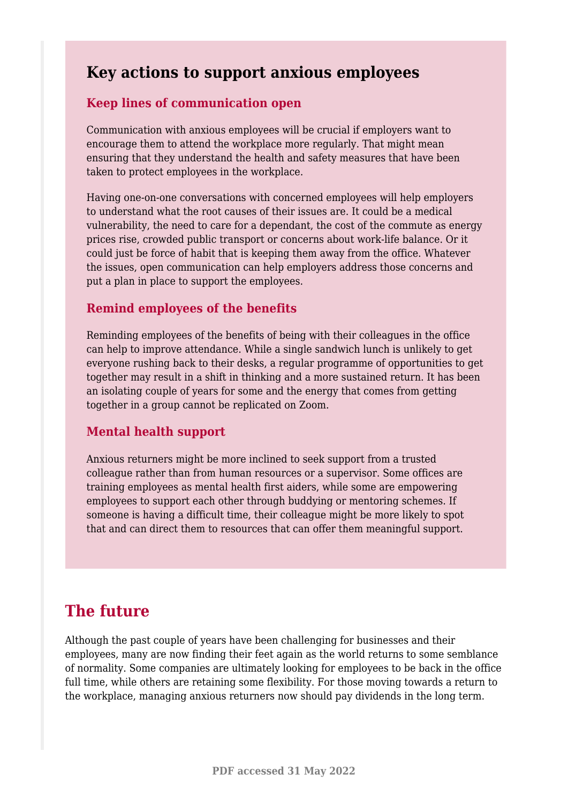### **Key actions to support anxious employees**

#### **Keep lines of communication open**

Communication with anxious employees will be crucial if employers want to encourage them to attend the workplace more regularly. That might mean ensuring that they understand the health and safety measures that have been taken to protect employees in the workplace.

Having one-on-one conversations with concerned employees will help employers to understand what the root causes of their issues are. It could be a medical vulnerability, the need to care for a dependant, the cost of the commute as energy prices rise, crowded public transport or concerns about work-life balance. Or it could just be force of habit that is keeping them away from the office. Whatever the issues, open communication can help employers address those concerns and put a plan in place to support the employees.

#### **Remind employees of the benefits**

Reminding employees of the benefits of being with their colleagues in the office can help to improve attendance. While a single sandwich lunch is unlikely to get everyone rushing back to their desks, a regular programme of opportunities to get together may result in a shift in thinking and a more sustained return. It has been an isolating couple of years for some and the energy that comes from getting together in a group cannot be replicated on Zoom.

### **Mental health support**

Anxious returners might be more inclined to seek support from a trusted colleague rather than from human resources or a supervisor. Some offices are training employees as mental health first aiders, while some are empowering employees to support each other through buddying or mentoring schemes. If someone is having a difficult time, their colleague might be more likely to spot that and can direct them to resources that can offer them meaningful support.

### **The future**

Although the past couple of years have been challenging for businesses and their employees, many are now finding their feet again as the world returns to some semblance of normality. Some companies are ultimately looking for employees to be back in the office full time, while others are retaining some flexibility. For those moving towards a return to the workplace, managing anxious returners now should pay dividends in the long term.